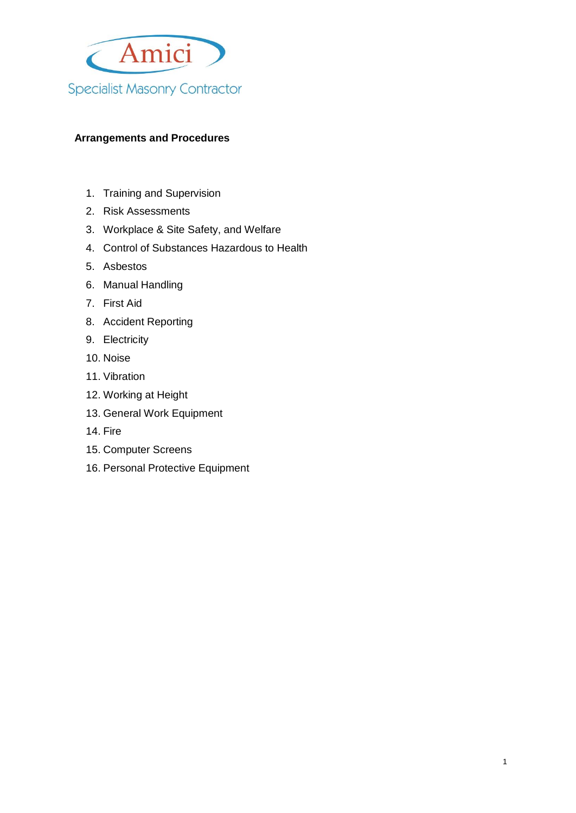

# **Arrangements and Procedures**

- 1. Training and Supervision
- 2. Risk Assessments
- 3. Workplace & Site Safety, and Welfare
- 4. Control of Substances Hazardous to Health
- 5. Asbestos
- 6. Manual Handling
- 7. First Aid
- 8. Accident Reporting
- 9. Electricity
- 10. Noise
- 11. Vibration
- 12. Working at Height
- 13. General Work Equipment
- 14. Fire
- 15. Computer Screens
- 16. Personal Protective Equipment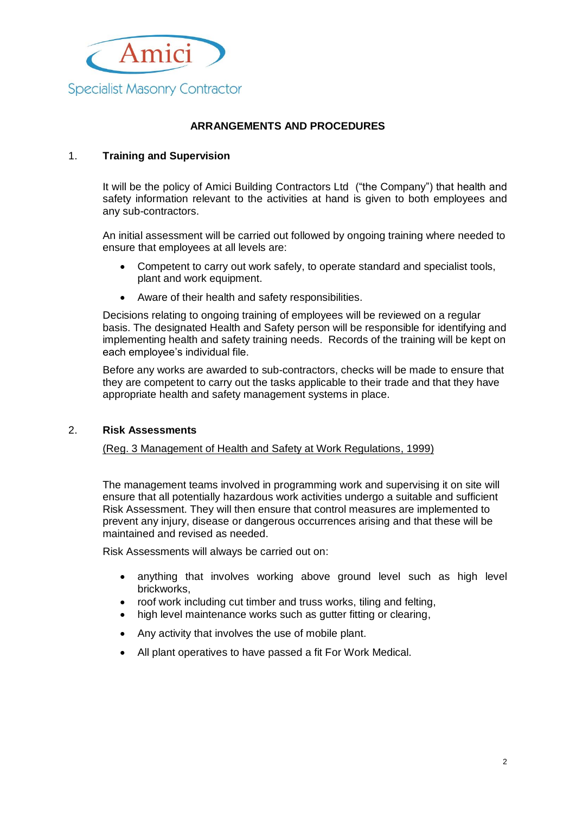

## **ARRANGEMENTS AND PROCEDURES**

### 1. **Training and Supervision**

It will be the policy of Amici Building Contractors Ltd ("the Company") that health and safety information relevant to the activities at hand is given to both employees and any sub-contractors.

An initial assessment will be carried out followed by ongoing training where needed to ensure that employees at all levels are:

- Competent to carry out work safely, to operate standard and specialist tools, plant and work equipment.
- Aware of their health and safety responsibilities.

Decisions relating to ongoing training of employees will be reviewed on a regular basis. The designated Health and Safety person will be responsible for identifying and implementing health and safety training needs. Records of the training will be kept on each employee's individual file.

Before any works are awarded to sub-contractors, checks will be made to ensure that they are competent to carry out the tasks applicable to their trade and that they have appropriate health and safety management systems in place.

#### 2. **Risk Assessments**

#### (Reg. 3 Management of Health and Safety at Work Regulations, 1999)

The management teams involved in programming work and supervising it on site will ensure that all potentially hazardous work activities undergo a suitable and sufficient Risk Assessment. They will then ensure that control measures are implemented to prevent any injury, disease or dangerous occurrences arising and that these will be maintained and revised as needed.

Risk Assessments will always be carried out on:

- anything that involves working above ground level such as high level brickworks,
- roof work including cut timber and truss works, tiling and felting,
- high level maintenance works such as gutter fitting or clearing,
- Any activity that involves the use of mobile plant.
- All plant operatives to have passed a fit For Work Medical.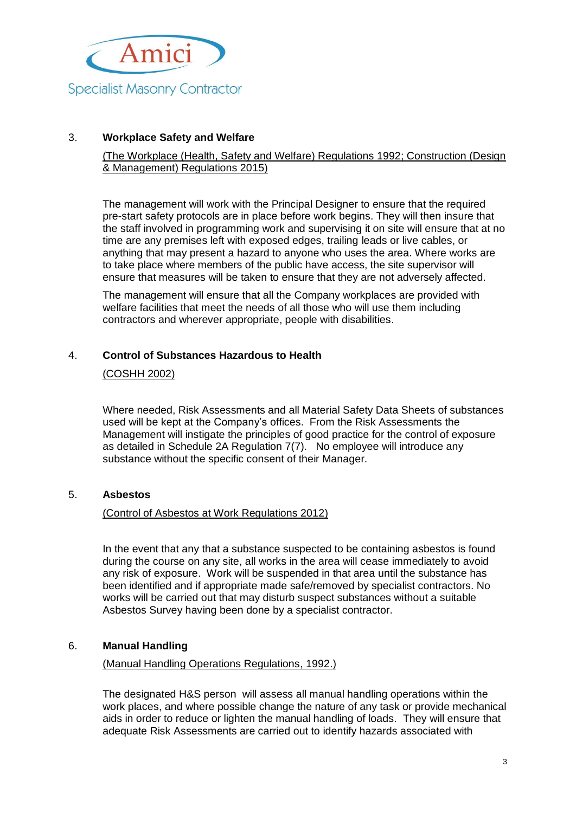

## 3. **Workplace Safety and Welfare**

### (The Workplace (Health, Safety and Welfare) Regulations 1992; Construction (Design & Management) Regulations 2015)

The management will work with the Principal Designer to ensure that the required pre-start safety protocols are in place before work begins. They will then insure that the staff involved in programming work and supervising it on site will ensure that at no time are any premises left with exposed edges, trailing leads or live cables, or anything that may present a hazard to anyone who uses the area. Where works are to take place where members of the public have access, the site supervisor will ensure that measures will be taken to ensure that they are not adversely affected.

The management will ensure that all the Company workplaces are provided with welfare facilities that meet the needs of all those who will use them including contractors and wherever appropriate, people with disabilities.

### 4. **Control of Substances Hazardous to Health**

#### (COSHH 2002)

Where needed, Risk Assessments and all Material Safety Data Sheets of substances used will be kept at the Company's offices. From the Risk Assessments the Management will instigate the principles of good practice for the control of exposure as detailed in Schedule 2A Regulation 7(7). No employee will introduce any substance without the specific consent of their Manager.

### 5. **Asbestos**

### (Control of Asbestos at Work Regulations 2012)

In the event that any that a substance suspected to be containing asbestos is found during the course on any site, all works in the area will cease immediately to avoid any risk of exposure. Work will be suspended in that area until the substance has been identified and if appropriate made safe/removed by specialist contractors. No works will be carried out that may disturb suspect substances without a suitable Asbestos Survey having been done by a specialist contractor.

### 6. **Manual Handling**

### (Manual Handling Operations Regulations, 1992.)

The designated H&S person will assess all manual handling operations within the work places, and where possible change the nature of any task or provide mechanical aids in order to reduce or lighten the manual handling of loads. They will ensure that adequate Risk Assessments are carried out to identify hazards associated with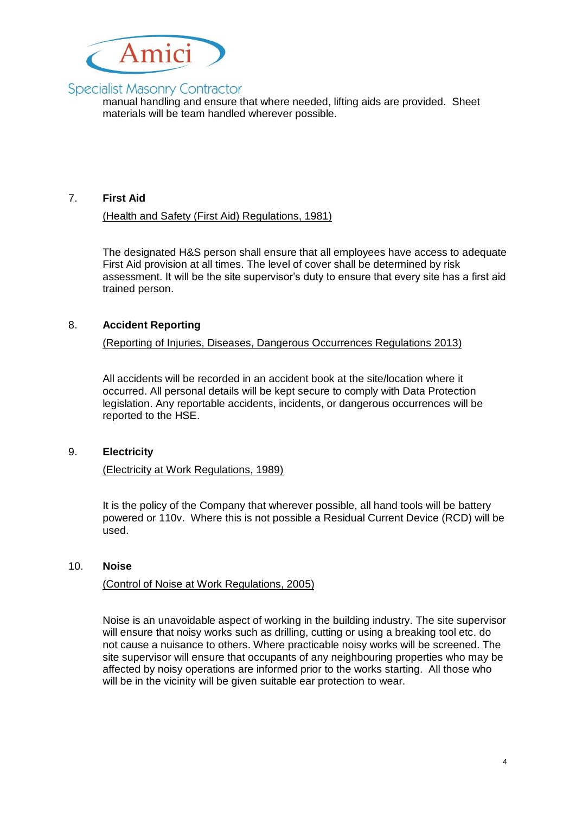

# **Specialist Masonry Contractor**

manual handling and ensure that where needed, lifting aids are provided. Sheet materials will be team handled wherever possible.

## 7. **First Aid**

### (Health and Safety (First Aid) Regulations, 1981)

The designated H&S person shall ensure that all employees have access to adequate First Aid provision at all times. The level of cover shall be determined by risk assessment. It will be the site supervisor's duty to ensure that every site has a first aid trained person.

## 8. **Accident Reporting**

(Reporting of Injuries, Diseases, Dangerous Occurrences Regulations 2013)

All accidents will be recorded in an accident book at the site/location where it occurred. All personal details will be kept secure to comply with Data Protection legislation. Any reportable accidents, incidents, or dangerous occurrences will be reported to the HSE.

### 9. **Electricity**

#### (Electricity at Work Regulations, 1989)

It is the policy of the Company that wherever possible, all hand tools will be battery powered or 110v. Where this is not possible a Residual Current Device (RCD) will be used.

#### 10. **Noise**

#### (Control of Noise at Work Regulations, 2005)

Noise is an unavoidable aspect of working in the building industry. The site supervisor will ensure that noisy works such as drilling, cutting or using a breaking tool etc. do not cause a nuisance to others. Where practicable noisy works will be screened. The site supervisor will ensure that occupants of any neighbouring properties who may be affected by noisy operations are informed prior to the works starting. All those who will be in the vicinity will be given suitable ear protection to wear.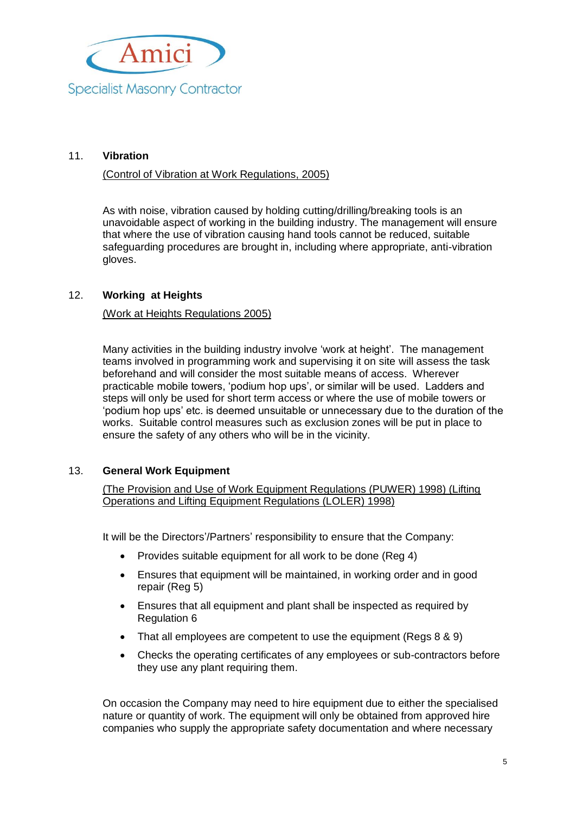

## 11. **Vibration**

#### (Control of Vibration at Work Regulations, 2005)

As with noise, vibration caused by holding cutting/drilling/breaking tools is an unavoidable aspect of working in the building industry. The management will ensure that where the use of vibration causing hand tools cannot be reduced, suitable safeguarding procedures are brought in, including where appropriate, anti-vibration gloves.

#### 12. **Working at Heights**

#### (Work at Heights Regulations 2005)

Many activities in the building industry involve 'work at height'. The management teams involved in programming work and supervising it on site will assess the task beforehand and will consider the most suitable means of access. Wherever practicable mobile towers, 'podium hop ups', or similar will be used. Ladders and steps will only be used for short term access or where the use of mobile towers or 'podium hop ups' etc. is deemed unsuitable or unnecessary due to the duration of the works. Suitable control measures such as exclusion zones will be put in place to ensure the safety of any others who will be in the vicinity.

### 13. **General Work Equipment**

(The Provision and Use of Work Equipment Regulations (PUWER) 1998) (Lifting Operations and Lifting Equipment Regulations (LOLER) 1998)

It will be the Directors'/Partners' responsibility to ensure that the Company:

- Provides suitable equipment for all work to be done (Reg 4)
- Ensures that equipment will be maintained, in working order and in good repair (Reg 5)
- Ensures that all equipment and plant shall be inspected as required by Regulation 6
- That all employees are competent to use the equipment (Regs  $8 \& 9$ )
- Checks the operating certificates of any employees or sub-contractors before they use any plant requiring them.

On occasion the Company may need to hire equipment due to either the specialised nature or quantity of work. The equipment will only be obtained from approved hire companies who supply the appropriate safety documentation and where necessary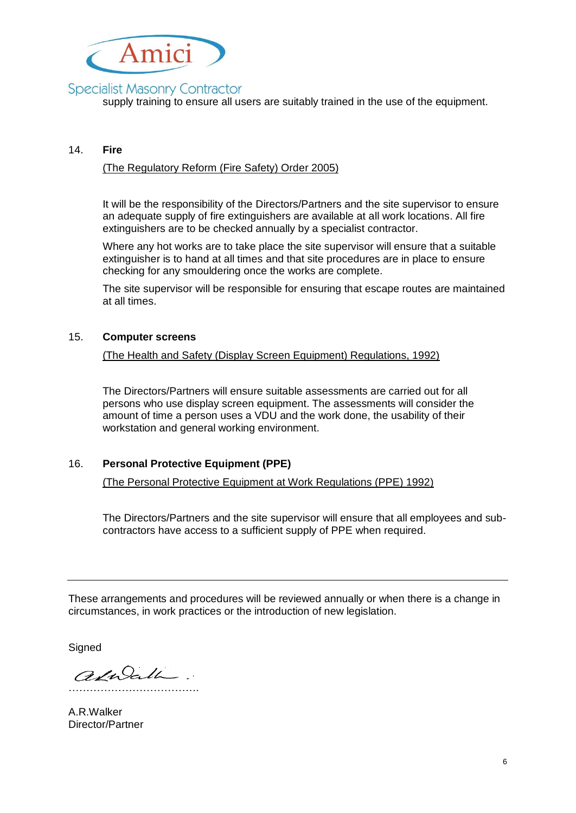

# **Specialist Masonry Contractor**

supply training to ensure all users are suitably trained in the use of the equipment.

#### 14. **Fire**

#### (The Regulatory Reform (Fire Safety) Order 2005)

It will be the responsibility of the Directors/Partners and the site supervisor to ensure an adequate supply of fire extinguishers are available at all work locations. All fire extinguishers are to be checked annually by a specialist contractor.

Where any hot works are to take place the site supervisor will ensure that a suitable extinguisher is to hand at all times and that site procedures are in place to ensure checking for any smouldering once the works are complete.

The site supervisor will be responsible for ensuring that escape routes are maintained at all times.

#### 15. **Computer screens**

(The Health and Safety (Display Screen Equipment) Regulations, 1992)

The Directors/Partners will ensure suitable assessments are carried out for all persons who use display screen equipment. The assessments will consider the amount of time a person uses a VDU and the work done, the usability of their workstation and general working environment.

### 16. **Personal Protective Equipment (PPE)**

(The Personal Protective Equipment at Work Regulations (PPE) 1992)

The Directors/Partners and the site supervisor will ensure that all employees and subcontractors have access to a sufficient supply of PPE when required.

These arrangements and procedures will be reviewed annually or when there is a change in circumstances, in work practices or the introduction of new legislation.

**Signed** 

adulath. ……………………………….

A.R.Walker Director/Partner